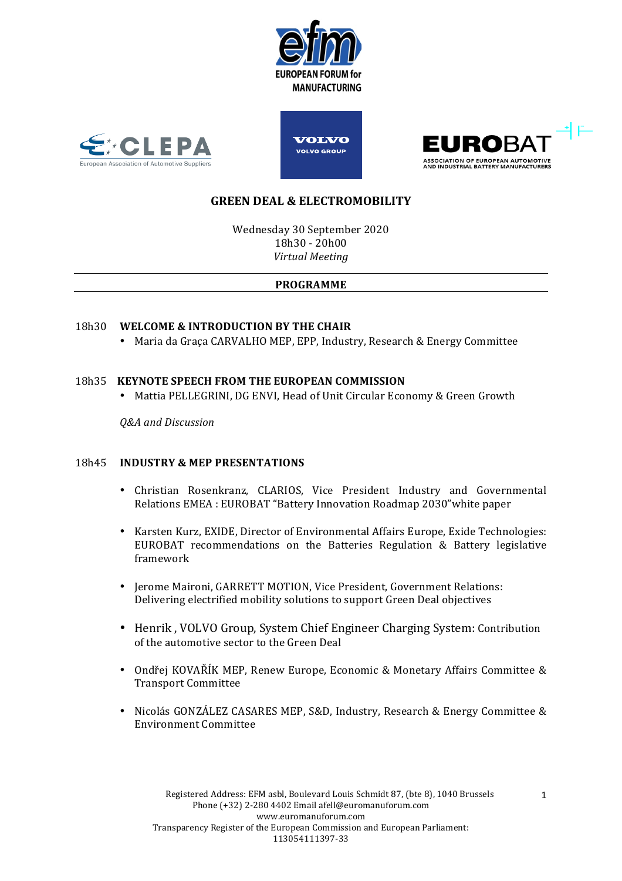







# **GREEN DEAL & ELECTROMOBILITY**

Wednesday 30 September 2020 18h30 - 20h00 *Virtual Meeting*

## **PROGRAMME**

# 18h30 WELCOME & INTRODUCTION BY THE CHAIR

• Maria da Graca CARVALHO MEP, EPP, Industry, Research & Energy Committee

## 18h35 **KEYNOTE SPEECH FROM THE EUROPEAN COMMISSION**

• Mattia PELLEGRINI, DG ENVI, Head of Unit Circular Economy & Green Growth

*Q&A and Discussion*

## 18h45 **INDUSTRY & MEP PRESENTATIONS**

- Christian Rosenkranz, CLARIOS, Vice President Industry and Governmental Relations EMEA : EUROBAT "Battery Innovation Roadmap 2030" white paper
- Karsten Kurz, EXIDE, Director of Environmental Affairs Europe, Exide Technologies: EUROBAT recommendations on the Batteries Regulation & Battery legislative framework
- Jerome Maironi, GARRETT MOTION, Vice President, Government Relations: Delivering electrified mobility solutions to support Green Deal objectives
- Henrik, VOLVO Group, System Chief Engineer Charging System: Contribution of the automotive sector to the Green Deal
- Ondřej KOVAŘÍK MEP, Renew Europe, Economic & Monetary Affairs Committee & Transport Committee
- Nicolás GONZÁLEZ CASARES MEP, S&D, Industry, Research & Energy Committee & Environment Committee